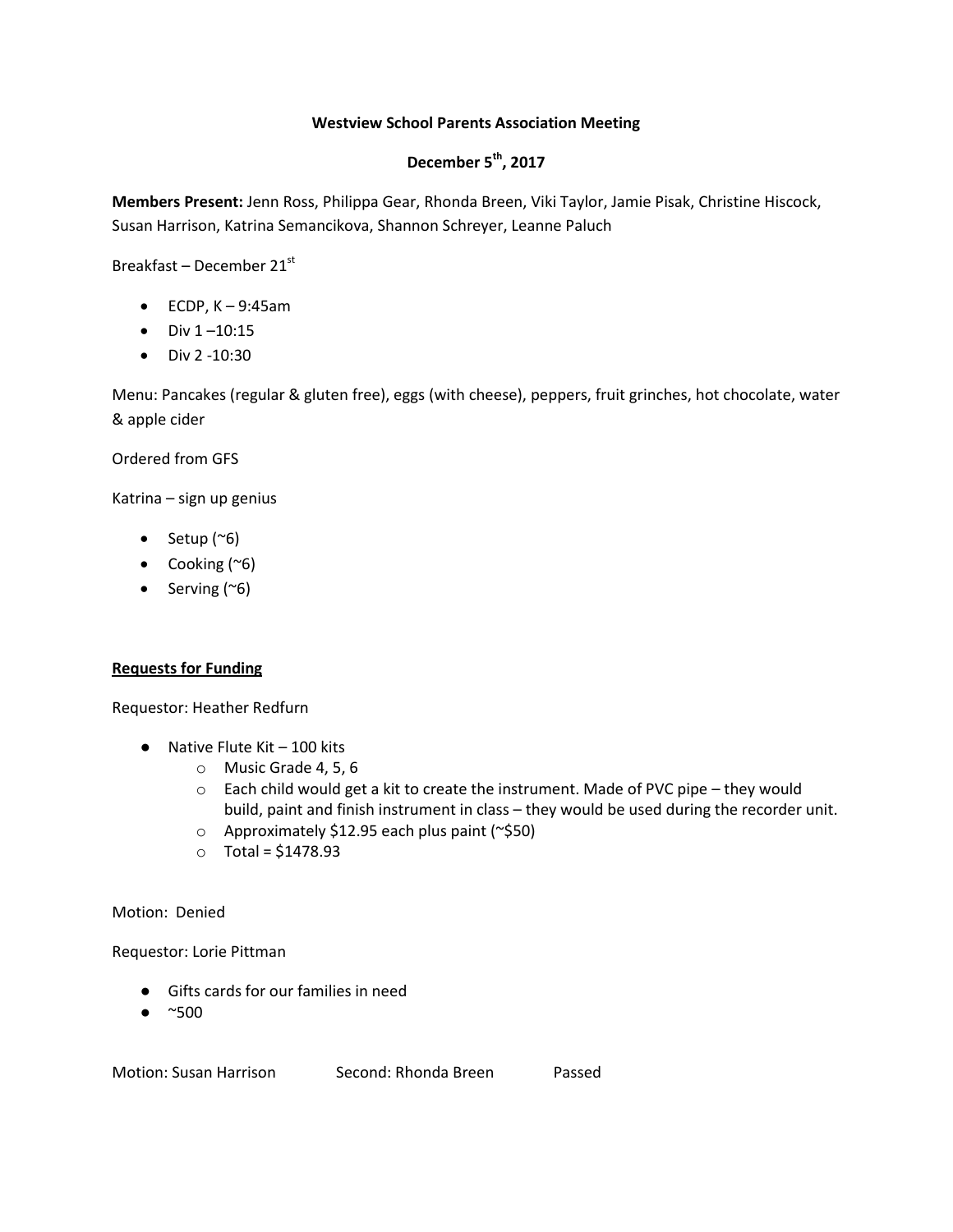## **Westview School Parents Association Meeting**

# **December 5th, 2017**

**Members Present:** Jenn Ross, Philippa Gear, Rhonda Breen, Viki Taylor, Jamie Pisak, Christine Hiscock, Susan Harrison, Katrina Semancikova, Shannon Schreyer, Leanne Paluch

Breakfast – December  $21<sup>st</sup>$ 

- $\bullet$  ECDP, K 9:45am
- $\bullet$  Div 1-10:15
- $\bullet$  Div 2 -10:30

Menu: Pancakes (regular & gluten free), eggs (with cheese), peppers, fruit grinches, hot chocolate, water & apple cider

Ordered from GFS

Katrina – sign up genius

- Setup  $(\sim 6)$
- Cooking (~6)
- Serving  $(^\sim 6)$

## **Requests for Funding**

Requestor: Heather Redfurn

- $\bullet$  Native Flute Kit 100 kits
	- o Music Grade 4, 5, 6
	- $\circ$  Each child would get a kit to create the instrument. Made of PVC pipe they would build, paint and finish instrument in class – they would be used during the recorder unit.
	- o Approximately \$12.95 each plus paint (~\$50)
	- o Total = \$1478.93

Motion: Denied

Requestor: Lorie Pittman

- Gifts cards for our families in need
- $\bullet$  ~500

Motion: Susan Harrison Second: Rhonda Breen Passed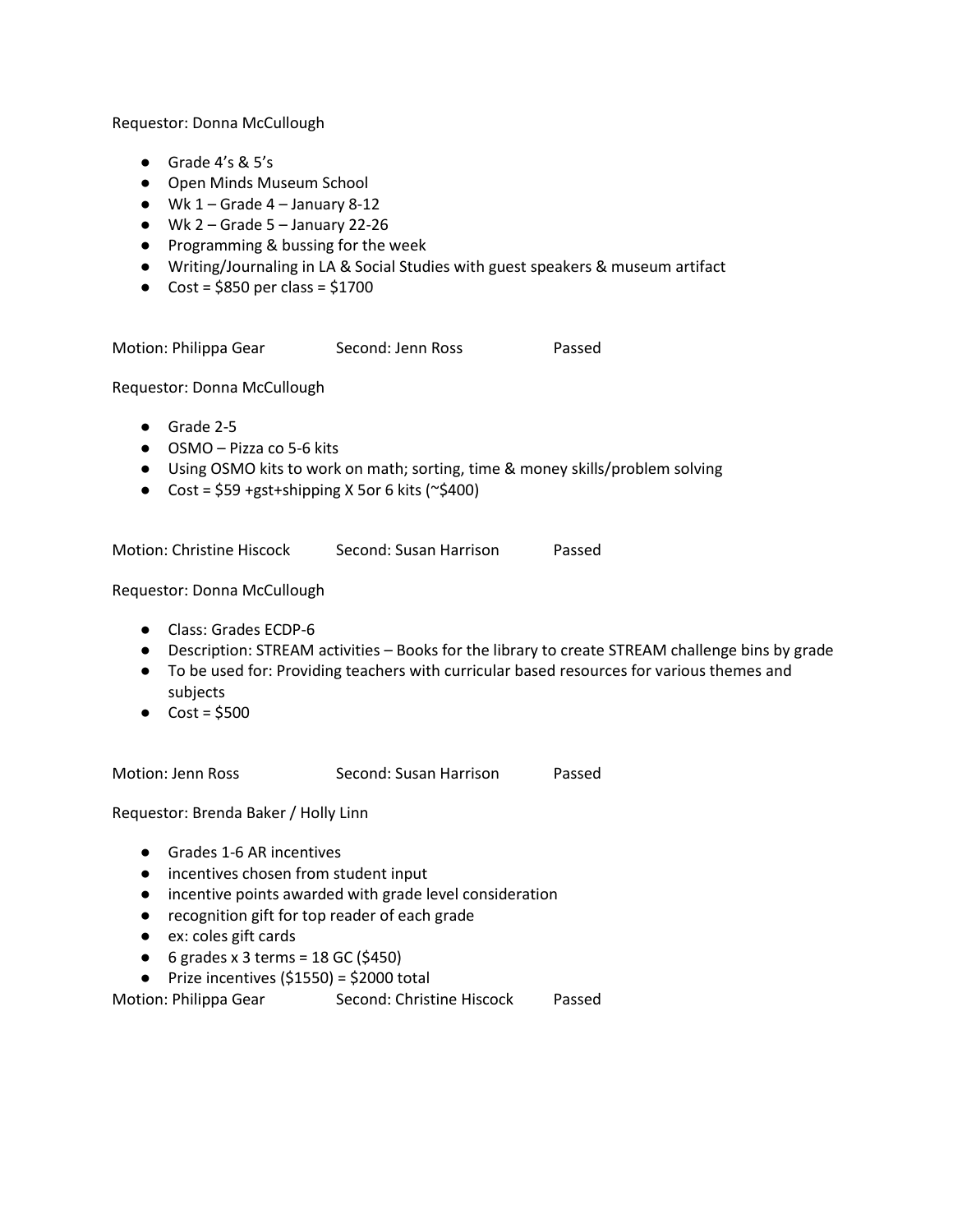Requestor: Donna McCullough

- Grade 4's & 5's
- Open Minds Museum School
- $\bullet$  Wk 1 Grade 4 January 8-12
- $\bullet$  Wk 2 Grade 5 January 22-26
- Programming & bussing for the week
- Writing/Journaling in LA & Social Studies with guest speakers & museum artifact
- $\bullet$  Cost = \$850 per class = \$1700

Motion: Philippa Gear Second: Jenn Ross Passed

Requestor: Donna McCullough

- Grade 2-5
- OSMO Pizza co 5-6 kits
- Using OSMO kits to work on math; sorting, time & money skills/problem solving
- Cost =  $$59$  +gst+shipping X 5or 6 kits ( $\approx$ \$400)

Motion: Christine Hiscock Second: Susan Harrison Passed

Requestor: Donna McCullough

- Class: Grades ECDP-6
- Description: STREAM activities Books for the library to create STREAM challenge bins by grade
- To be used for: Providing teachers with curricular based resources for various themes and subjects
- $\bullet$  Cost = \$500

Motion: Jenn Ross Second: Susan Harrison Passed

Requestor: Brenda Baker / Holly Linn

- Grades 1-6 AR incentives
- incentives chosen from student input
- incentive points awarded with grade level consideration
- recognition gift for top reader of each grade
- ex: coles gift cards
- $\bullet$  6 grades x 3 terms = 18 GC (\$450)
- $\bullet$  Prize incentives (\$1550) = \$2000 total

Motion: Philippa Gear Second: Christine Hiscock Passed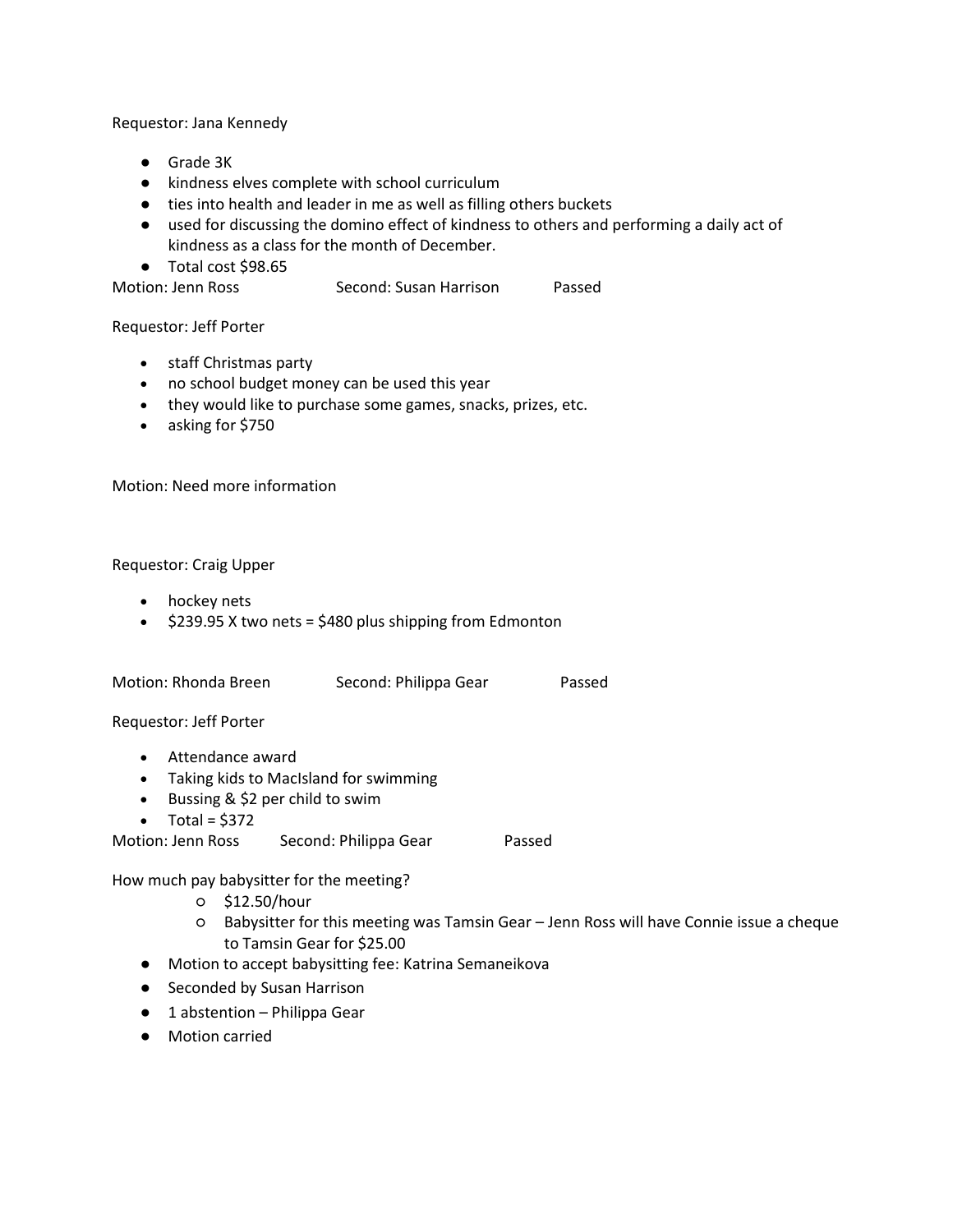Requestor: Jana Kennedy

- Grade 3K
- kindness elves complete with school curriculum
- ties into health and leader in me as well as filling others buckets
- used for discussing the domino effect of kindness to others and performing a daily act of kindness as a class for the month of December.
- Total cost \$98.65

Motion: Jenn Ross Second: Susan Harrison Passed

### Requestor: Jeff Porter

- staff Christmas party
- no school budget money can be used this year
- they would like to purchase some games, snacks, prizes, etc.
- asking for \$750

Motion: Need more information

### Requestor: Craig Upper

- hockey nets
- $\div$  \$239.95 X two nets = \$480 plus shipping from Edmonton

Motion: Rhonda Breen Second: Philippa Gear Passed

Requestor: Jeff Porter

- Attendance award
- Taking kids to MacIsland for swimming
- Bussing & \$2 per child to swim
- $\bullet$  Total = \$372

Motion: Jenn Ross Second: Philippa Gear Passed

How much pay babysitter for the meeting?

- \$12.50/hour
- Babysitter for this meeting was Tamsin Gear Jenn Ross will have Connie issue a cheque to Tamsin Gear for \$25.00
- Motion to accept babysitting fee: Katrina Semaneikova
- Seconded by Susan Harrison
- $\bullet$  1 abstention Philippa Gear
- Motion carried